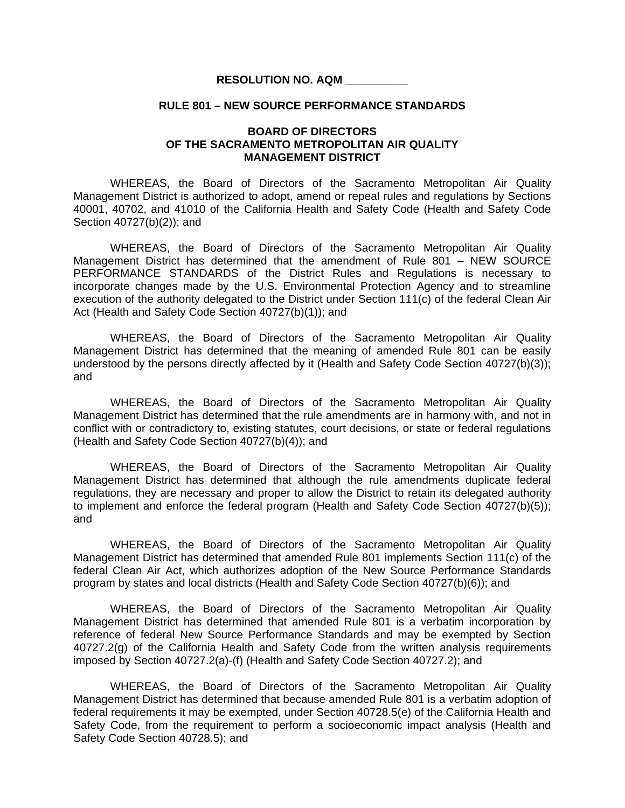## **RESOLUTION NO. AQM \_\_\_\_\_\_\_\_\_\_**

## **RULE 801 – NEW SOURCE PERFORMANCE STANDARDS**

## **BOARD OF DIRECTORS OF THE SACRAMENTO METROPOLITAN AIR QUALITY MANAGEMENT DISTRICT**

 WHEREAS, the Board of Directors of the Sacramento Metropolitan Air Quality Management District is authorized to adopt, amend or repeal rules and regulations by Sections 40001, 40702, and 41010 of the California Health and Safety Code (Health and Safety Code Section 40727(b)(2)); and

 WHEREAS, the Board of Directors of the Sacramento Metropolitan Air Quality Management District has determined that the amendment of Rule 801 – NEW SOURCE PERFORMANCE STANDARDS of the District Rules and Regulations is necessary to incorporate changes made by the U.S. Environmental Protection Agency and to streamline execution of the authority delegated to the District under Section 111(c) of the federal Clean Air Act (Health and Safety Code Section 40727(b)(1)); and

 WHEREAS, the Board of Directors of the Sacramento Metropolitan Air Quality Management District has determined that the meaning of amended Rule 801 can be easily understood by the persons directly affected by it (Health and Safety Code Section 40727(b)(3)); and

 WHEREAS, the Board of Directors of the Sacramento Metropolitan Air Quality Management District has determined that the rule amendments are in harmony with, and not in conflict with or contradictory to, existing statutes, court decisions, or state or federal regulations (Health and Safety Code Section 40727(b)(4)); and

 WHEREAS, the Board of Directors of the Sacramento Metropolitan Air Quality Management District has determined that although the rule amendments duplicate federal regulations, they are necessary and proper to allow the District to retain its delegated authority to implement and enforce the federal program (Health and Safety Code Section 40727(b)(5)); and

WHEREAS, the Board of Directors of the Sacramento Metropolitan Air Quality Management District has determined that amended Rule 801 implements Section 111(c) of the federal Clean Air Act, which authorizes adoption of the New Source Performance Standards program by states and local districts (Health and Safety Code Section 40727(b)(6)); and

WHEREAS, the Board of Directors of the Sacramento Metropolitan Air Quality Management District has determined that amended Rule 801 is a verbatim incorporation by reference of federal New Source Performance Standards and may be exempted by Section 40727.2(g) of the California Health and Safety Code from the written analysis requirements imposed by Section 40727.2(a)-(f) (Health and Safety Code Section 40727.2); and

WHEREAS, the Board of Directors of the Sacramento Metropolitan Air Quality Management District has determined that because amended Rule 801 is a verbatim adoption of federal requirements it may be exempted, under Section 40728.5(e) of the California Health and Safety Code, from the requirement to perform a socioeconomic impact analysis (Health and Safety Code Section 40728.5); and